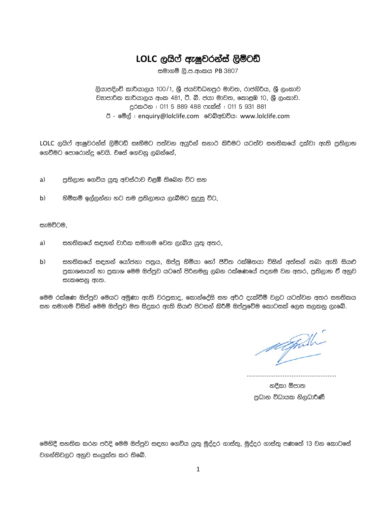# LOLC ලයිෆ් ඇෂුවරන්ස් ලිමිටඩ්

සමාගම් ලි.ප.අංකය PB 3807

ලියාපදිංචි කාර්යාලය 100/1, ශූී ජයවර්ධනපුර මාවත, රාජගිරිය, ශූී ලංකාව වනපාරික කාර්යාලය අංක 481, ටී. බී. ජයා මාවත, කොළඹ 10, ශුී ලංකාව. දුරකථන : 011 5 889 488 ෆැක්ස් : 011 5 931 881 ඊ - මේල් : enquiry@lolclife.com වෙබ්අඩවිය: www.lolclife.com

LOLC ලයිෆ් ඇෂුවරන්ස් ලිමිටඩ් සෑහීමට පත්වන අයුරින් සනාථ කිරීමට යටත්ව සහතිකයේ දක්වා ඇති පුතිලාභ ගෙවීමට පොරොන්දු වෙයි. චිසේ ගෙවනු ලබන්නේ,

- පුතිලාභ ගෙවිය යුතු අවස්ථාව චළඹී තිබෙන විට සහ  $a)$
- හිමිකම් ඉල්ලන්නා හට තම පුතිලාභය ලැබීමට සුදුසු විට,  $b)$

සැමවිටම,

- සහතිකයේ සඳහන් වාරික සමාගම වෙත ලැබිය යුතු අතර,  $a)$
- $b)$ සහතිකයේ සඳහන් යෝජනා පතුය, ඔප්පු හිමියා හෝ පිවිත රක්ෂිතයා විසින් අත්සන් තබා ඇති සියළු පුකාශනයන් හා පුකාශ මෙම ඔප්පුව යටතේ පිරිනමනු ලබන රක්ෂණයේ පදනම වන අතර, පුතිලාභ ඒ අනුව සැකසෙනු ඇත.

මෙම රක්ෂණ ඔප්පුව මෙයට අමුණා ඇති වරපුසාද, කොන්දේසි සහ අර්ථ දැක්වීම් වලට යටත්වන අතර සහතිකය සහ සමාගම විසින් මෙම ඔප්පුව මත සිදුකර ඇති සියළු පිටසන් කිරීම් ඔප්පුවේම කොටසක් ලෙස සලකනු ලැබේ.

alpolli

නදීකා ඕපාත පුධාන විධායක නිලධාරිණී

මෙහිදී සහතික කරන පරිදි මෙම ඔප්පුව සඳහා ගෙවිය යුතු මුද්දර ගාස්තු, මුද්දර ගාස්තු පණතේ 13 වන කොටසේ වගන්තිවලට අනුව සංයුක්ත කර තිබේ.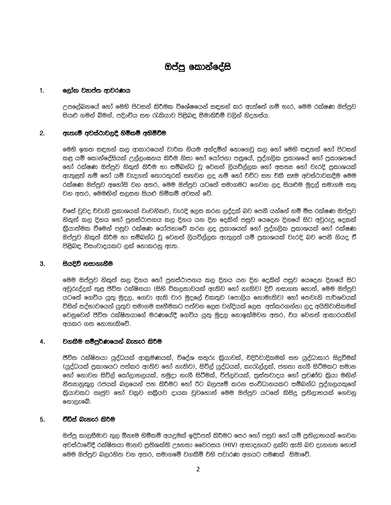# ඔප්පු කොන්දේසි

#### $1.$ ලෝක වනප්ත ආවරණය

උපලේබනයේ හෝ මෙහි පිටසන් කිරීමක විශේෂයෙන් සඳහන් කර ඇත්තේ නම් හැර, මෙම රක්ෂණ ඔප්පුව සියළු ගමන් බිමන්, පදිංචිය සහ රැකියාව පිළිබඳ සීමාකිරීම් වලින් නිදහස්ය.

#### $2.$ ඇතැම් අවස්ථාවලදී හිමිකම් අහිමිවීම

මෙහි ඉහත සඳහන් කල ආකාරයෙන් වාරික නියම අන්දමින් නොගෙවු කල හෝ මෙහි සඳහන් හෝ පිටසන් කළ යම් කොන්දේසියක් උල්ලංඝනය කිරීම නිසා හෝ යෝජනා පතුයේ, පුද්ගලික පුකාශයේ හෝ පුකාශනයේ හෝ රක්ෂණ ඔප්පුව නිකුත් කිරීම හා සම්බන්ධ වූ වෙනත් ලියවිල්ලක හෝ අසත¤ හෝ වැරදි පුකාශයක් අැතුළත් නම් හෝ යම් වැදගත් තොරතුරක් සඟවන ලද නම් හෝ චවිට සහ චකී සෑම අවස්ථාවකදීම මෙම රක්ෂණ ඔප්පුව අහෝසි වන අතර, මෙම ඔප්පුව යටතේ සමාගමට ගෙවන ලද සියළුම මුදල් සමාගම සතු වන අතර, මෙමඟින් සලසන සියළු හිමිකම් අවසන් වේ.

චිසේ වුවද චිවැනි පුකාශයක් වංචනිකව, වැරදි ලෙස කරන ලද්දක් බව පෙනී යන්නේ නම් මිස රක්ෂණ ඔප්පුව නිකුත් කල දිනය හෝ පුනස්ථාපනය කල දිනය යන දින දෙකින් පසුව යෙදෙන දිනයේ සිට අවුරුදු දෙකක් ඔප්පුව නිකුත් කිරීම හා සම්බන්ධ වු වෙනත් ලියවිල්ලක ඇතුලත් යම් පුකාශයක් වැරදි බව පෙනී ගියද වී පිළිබඳ විසංවාදයකට ලක් නොකරනු ඇත.

#### $3.$ සියදිවි නසාගැනීම

මෙම ඔප්පුව නිකුත් කල දිනය හෝ පුනස්ථාපනය කල දිනය යන දින දෙකින් පසුව යෙදෙන දිනයේ සිට අවුරුද්දක් තුළ ජිවිත රක්ෂිතයා (සිහි විකලතාවයක් ඇතිව හෝ නැතිව) දිවි නසාගත හොත්, මෙම ඔප්පුව යටතේ ගෙවිය යුතු මුදල, ගෙවා ඇති වාර මුදලේ චිකතුව (පොලිය නොමැතිව) හෝ තෙවැනි පාර්ශවයක් විසින් සද්භාවයෙන් යුතුව සමාගම සෑහීමකට පත්වන ලෙස වන්දියක් ලෙස අත්කරගන්නා ලද අයිතිවාසිකමක් වෙනුවෙන් ජිවිත රක්ෂිතයාගේ මරණයේදී ගෙවිය යුතු මුදල නොඉක්මවන අතර, චය වෙනත් ආකාරයකින් අයකර ගත නොහැකිවේ.

#### 4. වගකීම සම්පුර්ණයෙන් බැහැර කිරීම

ජීවිත රක්ෂිතයා යුද්ධයක් ආකුමණයක්, විදේශ සතුරු කිුයාවක්, චිදිරිවාදිකමක් සහ යුද්ධාකාර සිදුවීමක් (යුද්ධයක් පුකාශයට පත්කර ඇතිව හෝ නැතිව), සිවිල් යුද්ධයක්, කැරැල්ලක්, ජනතා නැගී සිටීමකට සමාන හෝ නොවන සිවිල් කෝලාහලයක්, හමුදා නැගී සිටීමක්, විප්ලවයක්, තුස්තවාදය හෝ පුචණ්ඩ කිුයා මඟින් නීතහානුකූල රජයක් බලයෙන් පහ කිරීමට හෝ ඊට බලපෑම් කරන සංවිධානයකට සම්බන්ධ පුද්ගලයකුගේ නොලැබේ.

#### චීඩ්ස් බැහැර කිරීම 5.

ඔප්පු කාලසීමාව තුල ඕනෑම හිමිකම් අයදුමක් ඉදිරිපත් කිරීමට පෙර හෝ පසුව හෝ යම් පුතිලාභයක් ගෙවන අවස්ථාවේදී රක්ෂිතයා මානව පුතිශක්ති ඌනතා වෛරසය (HIV) ආසාදනයට ලක්ව ඇති බව දැනගත හොත් මෙම ඔප්පුව බලරහිත වන අතර, සමාගමේ වගකීම් චහි පවාරණ අගයට පමණක් සිමාවේ.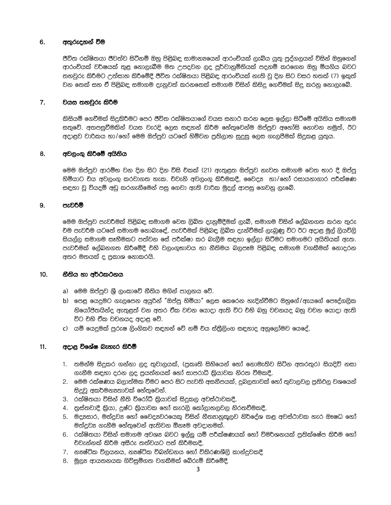#### 6. අතුරුදහන් වීම

ජීවිත රක්ෂිතයා ජීවත්ව සිටිනම් ඔහු පිළිබඳ සාමාන $\bm s$ යෙන් ආරංචියක් ලැබිය යුතු පුද්ගලයන් විසින් ඔහුගෙන් ආරංචියක් වර්ෂයක් තුළ නොලැබීම මත උපදවන ලද පුර්වානුමිතියක් පදනම් කරගෙන ඔහු මියගිය බවට තහවුරු කිරීමට උත්සාහ කිරීමේදී ජීවිත රක්ෂිතයා පිළිබඳ ආරංචියක් නැති වූ දින සිට වසර හතක් (7) ඉකුත් වන තෙක් සහ ඒ පිළිබඳ සමාගම දැනුවත් කරනතෙක් සමාගම විසින් කිසිදු ගෙවීමක් සිදු කරනු නොලැබේ.

#### $7.$ වයස තහවුරු කිරීම

කිසියම් ගෙවීමක් සිදුකිරීමට පෙර ජීවිත රක්ෂිතයාගේ වයස සනාථ කරන ලෙස ඉල්ලා සිටීමේ අයිතිය සමාගම සතුවේ. අතපසුවීමකින් වයස වැරදි ලෙස සඳහන් කිරීම හේතුවෙන්ම ඔප්පුව අනෝසි නොවන නමුත්, ඊට අදාළව වාරිකය හා/හෝ මෙම ඔප්පුව යටතේ හිමිවන පුතිලාභ සුදුසු ලෙස ගැලපීමක් සිදුකළ යුතුය.

#### 8. අවලංගු කිරීමේ අයිතිය

මෙම ඔප්පුව ආරම්භ වන දින සිට දින විසි චිකක් (21) ඇතුළත ඔප්පුව නැවත සමාගම වෙත භාර දී ඔප්පු හිමියාට චිය අවලංගු කරවාගත හැක. චිවැනි අවලංගු කිරීමකදී, වෛදා හා/හෝ රසායනාගාර පරීක්ෂණ සඳහා වූ වියදම් අඩු කරගැනීමෙන් පසු ගෙවා ඇති වාරික මුදල් ආපසු ගෙවනු ලැබේ.

#### 9. පැවරීම්

මෙම ඔප්පුව පැවර්මක් පිළිබඳ සමාගම වෙත ලිබිත දැනුම්දීමක් ලැබී, සමාගම විසින් ලේබනගත කරන තුරු චිම පැවරීම යටතේ සමාගම නොබැඳේ. පැවරීමක් පිළිබඳ ලිබිත දැන්වීමක් ලැබුණු විට ඊට අදාළ මුල් ලියවිලි සියල්ල සමාගම සෑහීමකට පත්වන සේ පරීක්ෂා කර බැලීම සඳහා ඉල්ලා සිටීමට සමාගමට අයිතියක් ඇත. පැවරීමක් ලේබනගත කිරීමේදී චිහි වලංගුභාවය හා නීතිමය බලපෑම පිළිබඳ සමාගම වගකීමක් නොදරන අතර මතයක් ද පුකාශ නොකරයි.

#### $10.$ නීතිය හා අර්ථකථනය

- a) මෙම ඔප්පුව ශුී ලංකාවේ නීතිය මගින් පාලනය වේ.
- b) පෙළ යෙදුමට ගැලපෙන අයුරින් "ඔප්පු හිමියා" ලෙස කෙරෙන හැදින්වීමට ඔහුගේ/ඇයගේ පෞද්ගලික නියෝජිතයින්ද ඇතුළත් වන අතර චීක වචන යොදා ඇති විට චිහි බහු වචනයද බහු වචන යොදා ඇති විට චිහි චීක වචනයද අදාළ වේ.
- c) යම් යෙදුමක් පුරුෂ ලිංගිකව සඳහන් වේ නම් චිය ස්තීුලිංග සඳහාද අනුලෝමව යෙදේ.

#### $11.$ අදාළ විශේෂ බැහැර කිරිම්

- 1. තමන්ම සිදුකර ගන්නා ලද තුවාලයක්, (පුකෘති සිහියෙන් හෝ නොමැතිව සිටින අතරතුර) සියදිවි නසා ගැනීම සඳහා දුරන ලද පුයත්නයක් හෝ සාපරාධි කියාවක නිරත වීමකදී.
- 2. මෙම රක්ෂණය බලාත්මක වීමට පෙර සිට පැවති අසනීපයක්, දුබලතාවක් හෝ තුවාලවල පුතිවල වශයෙන් සිදුවු අකර්මන¤තාවක් හේතුවෙන්.
- 3. රක්ෂිතයා විසින් නීති විරෝධී කියාවක් සිදුකල අවස්ථාවකදී.
- 4. තුස්තවාදී කියා, දුෂ්ට කියාවක හෝ කැරලි කෝලාහලවල නිරතවීමකදී.
- 5. මදාසසාර, මත්දුව¤ හෝ වෛදා වරයෙකු විසින් නීතහනුකූලව නිර්දේශ කළ අවස්ථාවක හැර ඖෂධ හෝ මත්දුව¤ ගැනීම හේතුවෙන් ඇතිවන ඕනෑම අවදානමක්.
- 6. රක්ෂිතයා විසින් සමාගම අවශ¤ බවට ඉල්ලු යම් පරීක්ෂණයක් හෝ විමර්ශනයක් පුතික්ෂේප කිරීම හෝ චිවැන්නක් කිරීම අසීරු තත්වයට පත් කිරීමකදී.
- 7. නෟෂ්ටික විලයනය, නෳෂ්ටික විඛන්ඩනය හෝ විකිරණශීලි කාන්දුවකදී
- 8. මූලූ ආයතනයක ගිවිසුම්ගත වගකීමක් බේරුම් කිරීමේදී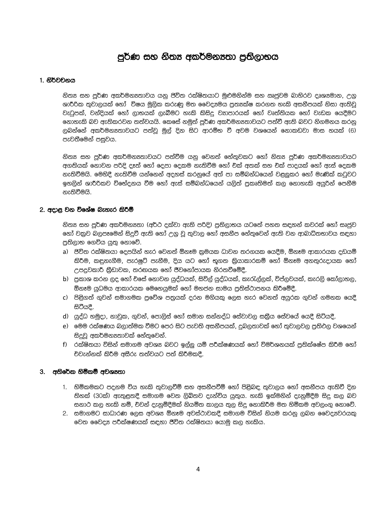# පුර්ණ සහ නිතූ අකර්මනූතා පුතිලාභය

#### 1. නිර්වචනය

නිත¤ සහ පුර්ණ අකර්මන¤තාවය යනු පිවිත රක්ෂිතයාට මුළුමනින්ම සහ ඍජවම බාහිරව දෘශ¤මාන, උගු ශාරීරික තුවාලයක් හෝ විෂය මූලික කරුණු මත වෛද¤මය පුත¤ක්ෂ කරගත හැකි අසනීපයක් නිසා ඇතිවූ වැටුපක්, වන්දියක් හෝ ලාභයක් ලැබීමට හැකි කිසිදු වනපාරයක් හෝ වෘත්තියක හෝ වැඩක යෙදීමට නොහැකි බව ඇතිකරවන තත්වයයි. කෙසේ නමුත් පූර්ණ අකර්මන¤තාවයට පත්වී ඇති බවට නිගමනය කරනු ලබන්නේ අකර්මන¤තාවයට පත්වු මුල් දින සිට ආරම්භ වී අවම වශයෙන් නොකඩවා මාස හයක් (6) පැවතීමෙන් පසුවය.

නිත¤ සහ පූර්ණ අකර්මන¤තාවයට පත්වීම යනු වෙනත් හේතුවකට හෝ නිත¤ පූර්ණ අකර්මන¤තාවයට අගතියක් නොවන පරිදි දෑත් හෝ දෙපා දෙකම නැතිවීම හෝ චක් අතක් සහ චක් පාදයක් හෝ ඇස් දෙකම නැතිවීමයි. මෙහිදී නැතිවීම යන්නෙන් අදහස් කරනුයේ අත් පා සම්බන්ධයෙන් වළලුකර හෝ මැණික් කටුවට ඉහලින් ශාරීරිකව විභේදනය වීම හෝ ඇස් සම්බන්ධයෙන් යලිත් පුකෘතිමත් කල නොහැකි අයුරින් පෙනීම නැතිවීමයි.

#### 2. අදාළ වන විශේෂ බැහැර කිරීම්

නිත¤ සහ පුර්ණ අකර්මන¤තා (අර්ථ දක්වා ඇති පරිදි) පුතිලාභය යටතේ පහත සඳහන් කවරක් හෝ සෘජුව හෝ වකුව බලපෑමෙන් සිදුවී ඇති හෝ උගු වූ තුවාල හෝ අසනීප හේතුවෙන් ඇති වන ආබාධිතභාවය සඳහා පුතිලාභ ගෙවිය යුතු නොවේ.

- a) ජිව්ත රක්ෂිතයා දෙපයින් හැර වෙනත් ඕනෑම කුමයක ධාවන තරගයක යෙදීම, ඕනෑම ආකාරයක දඩයම් කිරීම, කඳුනැගීම, පැරෂුට් පැනීම, දිය යට හෝ භූගත කිුයාකාරකම් හෝ ඕනෑම අනතුරුදායක හෝ උපදුවකාරී කීඩාවක, තරඟයක හෝ ජීවනෝපායක නිරතවීමේදී.
- b) පුකාශ කරන ලද හෝ චසේ නොවන යුද්ධයක්, සිව්ල් යුද්ධයක්, කැරැල්ලක්, විප්ලවයක්, කැරලි කෝලාහල, ඕනෑම යුධමය ආකාරයක මෙහෙයුමක් හෝ මහජන සාමය පුතිස්ථාපනය කිරීමේදී.
- c) පිළිගත් ගුවන් සමාගමක පුවේශ පතුයක් දරන මගියකු ලෙස හැර වෙනත් අයුරක ගුවන් ගමනක යෙදී සිටීයදී.
- d) යුද්ධ හමුදා, නාවුක, ගුවන්, පොලිස් හෝ සමාන සන්නද්ධ සේවාවල සකීය සේවයේ යෙදී සිටියදී.
- e) මෙම රක්ෂණය බලාත්මක වීමට පෙර සිට පැවති අසනීපයක්, දුබලතාවක් හෝ තුවාලවල පුතිඵල වශයෙන් සිදුවූ අකර්මන8තාවක් හේතුවෙන්.
- f) රක්ෂිතයා විසින් සමාගම අවශ¤ බවට ඉල්ලු යම් පරීක්ෂණයක් හෝ විමර්ශනයක් පුතික්ෂේප කිරීම හෝ චිවැන්නක් කිරීම අසීරු තත්වයට පත් කිරීමකදී.

#### 3. අතිරේක හිමිකම් අවශානා

- 1. හිමිකමකට පදනම විය හැකි තුවාලවීම් සහ අසනීපවීම් හෝ පිළිබඳ තුවාලය හෝ අසනීපය ඇතිවී දින තිහක් (30ක්) ඇතුළතදී සමාගම වෙත ලිබිතව දැන්විය යුතුය. හැකි ඉක්මනින් දැනුම්දීම සිදු කල බව සනාථ කල හැකි නම්, චිවන් දැනුම්දීමක් නියමිත කාලය තුල සිදු නොකිරීම මත හිමිකම අවලංගු නොවේ.
- 2. සමාගමට සාධාරණ ලෙස අවශ¤ ඕනෑම අවස්ථාවකදී සමාගම විසින් නියම කරනු ලබන වෛදාඃවරයකු වෙත වෛද¤ පරීක්ෂණයක් සඳහා ජීවිත රක්ෂිතයා යොමු කල හැකිය.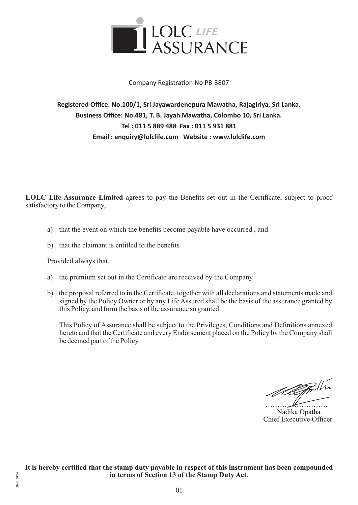

### Company Registration No PB-3807

**Registered Office: No.100/1, Sri Jayawardenepura Mawatha, Rajagiriya, Sri Lanka. Business Office: No.481, T. B. Jayah Mawatha, Colombo 10, Sri Lanka. Tel : 011 5 889 488 Fax : 011 5 931 881 Email : enquiry@lolclife.com Website : www.lolclife.com**

LOLC Life Assurance Limited agrees to pay the Benefits set out in the Certificate, subject to proof satisfactory to the Company,

- a) that the event on which the benefits become payable have occurred, and
- b) that the claimant is entitled to the benefits

Provided always that,

**Item 7874**

Item 7874

- a) the premium set out in the Certificate are received by the Company
- b) the proposal referred to in the Certificate, together with all declarations and statements made and signed by the Policy Owner or by any Life Assured shall be the basis of the assurance granted by this Policy, and form the basis of the assurance so granted.

This Policy of Assurance shall be subject to the Privileges, Conditions and Definitions annexed hereto and that the Certificate and every Endorsement placed on the Policy by the Company shall be deemed part of the Policy.

Meggulha

 Nadika Opatha Chief Executive Officer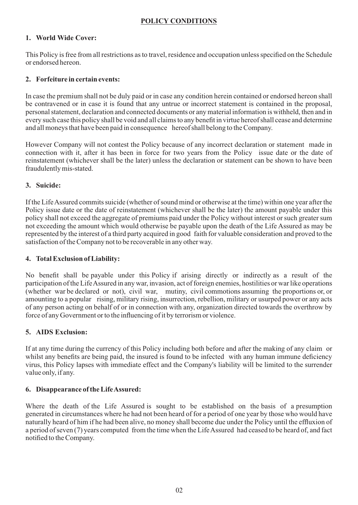# **POLICY CONDITIONS**

# **1. World Wide Cover:**

This Policy is free from all restrictions as to travel, residence and occupation unless specified on the Schedule or endorsed hereon.

### **2. Forfeiture in certain events:**

In case the premium shall not be duly paid or in case any condition herein contained or endorsed hereon shall be contravened or in case it is found that any untrue or incorrect statement is contained in the proposal, personal statement, declaration and connected documents or any material information is withheld, then and in every such case this policy shall be void and all claims to any benefit in virtue hereof shall cease and determine and all moneys that have been paid in consequence hereof shall belong to the Company.

However Company will not contest the Policy because of any incorrect declaration or statement made in connection with it, after it has been in force for two years from the Policy issue date or the date of reinstatement (whichever shall be the later) unless the declaration or statement can be shown to have been fraudulently mis-stated.

### **3. Suicide:**

If the Life Assured commits suicide (whether of sound mind or otherwise at the time) within one year after the Policy issue date or the date of reinstatement (whichever shall be the later) the amount payable under this policy shall not exceed the aggregate of premiums paid under the Policy without interest or such greater sum not exceeding the amount which would otherwise be payable upon the death of the Life Assured as may be represented by the interest of a third party acquired in good faith for valuable consideration and proved to the satisfaction of the Company not to be recoverable in any other way.

### **4. Total Exclusion of Liability:**

No benefit shall be payable under this Policy if arising directly or indirectly as a result of the participation of the Life Assured in any war, invasion, act of foreign enemies, hostilities or war like operations (whether war be declared or not), civil war, mutiny, civil commotions assuming the proportions or, or amounting to a popular rising, military rising, insurrection, rebellion, military or usurped power or any acts of any person acting on behalf of or in connection with any, organization directed towards the overthrow by force of any Government or to the influencing of it by terrorism or violence.

### **5. AIDS Exclusion:**

If at any time during the currency of this Policy including both before and after the making of any claim or whilst any benefits are being paid, the insured is found to be infected with any human immune deficiency virus, this Policy lapses with immediate effect and the Company's liability will be limited to the surrender value only, if any.

### **6. Disappearance of the Life Assured:**

Where the death of the Life Assured is sought to be established on the basis of a presumption generated in circumstances where he had not been heard of for a period of one year by those who would have naturally heard of him if he had been alive, no money shall become due under the Policy until the effluxion of a period of seven (7) years computed from the time when the Life Assured had ceased to be heard of, and fact notified to the Company.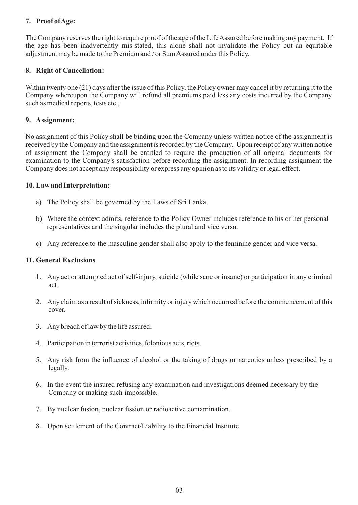# **7. Proof of Age:**

The Company reserves the right to require proof of the age of the Life Assured before making any payment. If the age has been inadvertently mis-stated, this alone shall not invalidate the Policy but an equitable adjustment may be made to the Premium and / or Sum Assured under this Policy.

### **8. Right of Cancellation:**

Within twenty one (21) days after the issue of this Policy, the Policy owner may cancel it by returning it to the Company whereupon the Company will refund all premiums paid less any costs incurred by the Company such as medical reports, tests etc.,

### **9. Assignment:**

No assignment of this Policy shall be binding upon the Company unless written notice of the assignment is received by the Company and the assignment is recorded by the Company. Upon receipt of any written notice of assignment the Company shall be entitled to require the production of all original documents for examination to the Company's satisfaction before recording the assignment. In recording assignment the Company does not accept any responsibility or express any opinion as to its validity or legal effect.

### **10. Law and Interpretation:**

- a) The Policy shall be governed by the Laws of Sri Lanka.
- b) Where the context admits, reference to the Policy Owner includes reference to his or her personal representatives and the singular includes the plural and vice versa.
- c) Any reference to the masculine gender shall also apply to the feminine gender and vice versa.

### **11. General Exclusions**

- 1. Any act or attempted act of self-injury, suicide (while sane or insane) or participation in any criminal act.
- 2. Any claim as a result of sickness, infirmity or injury which occurred before the commencement of this cover.
- 3. Any breach of law by the life assured.
- 4. Participation in terrorist activities, felonious acts, riots.
- 5. Any risk from the influence of alcohol or the taking of drugs or narcotics unless prescribed by a legally.
- 6. In the event the insured refusing any examination and investigations deemed necessary by the Company or making such impossible.
- 7. By nuclear fusion, nuclear fission or radioactive contamination.
- 8. Upon settlement of the Contract/Liability to the Financial Institute.